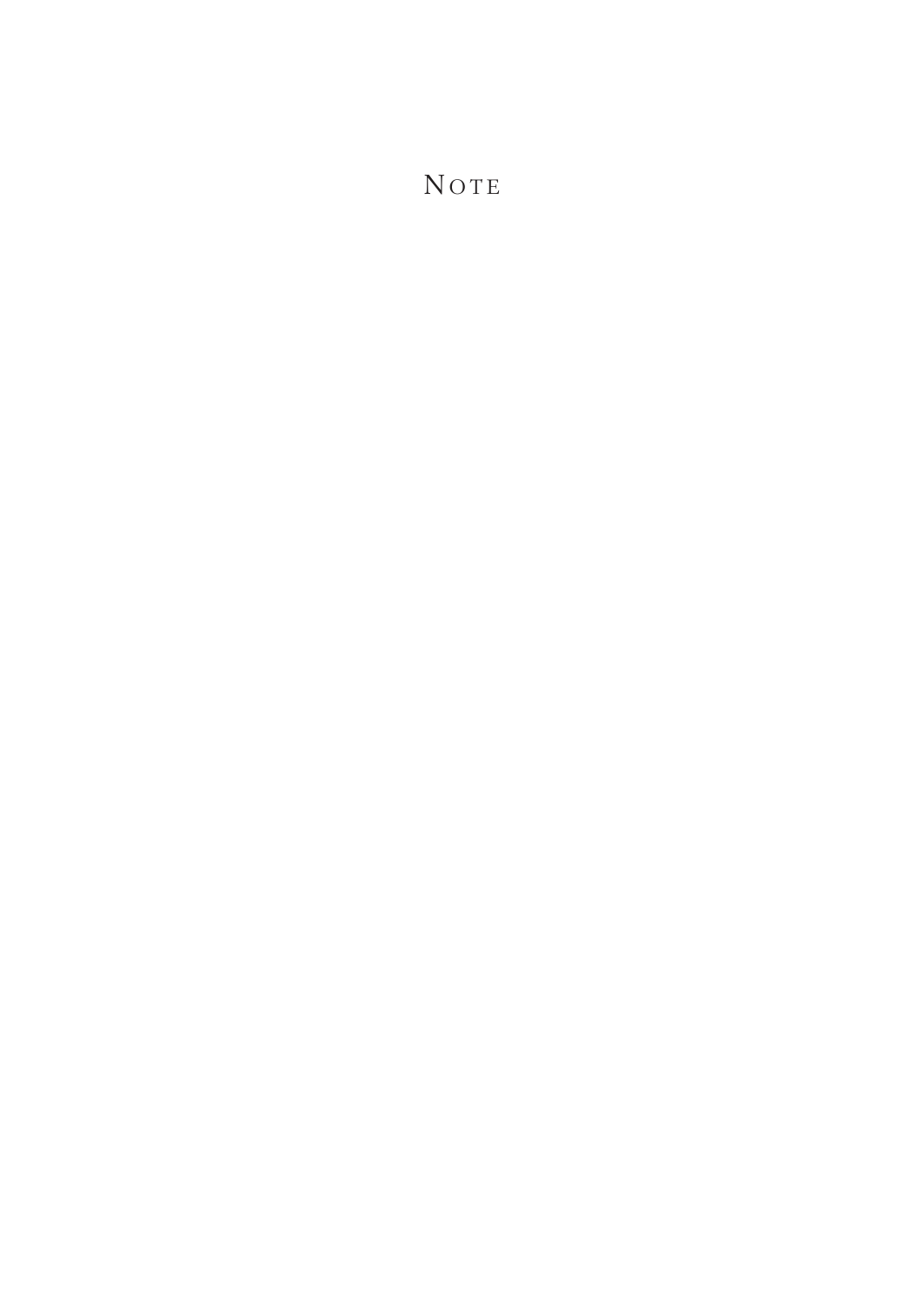NOTE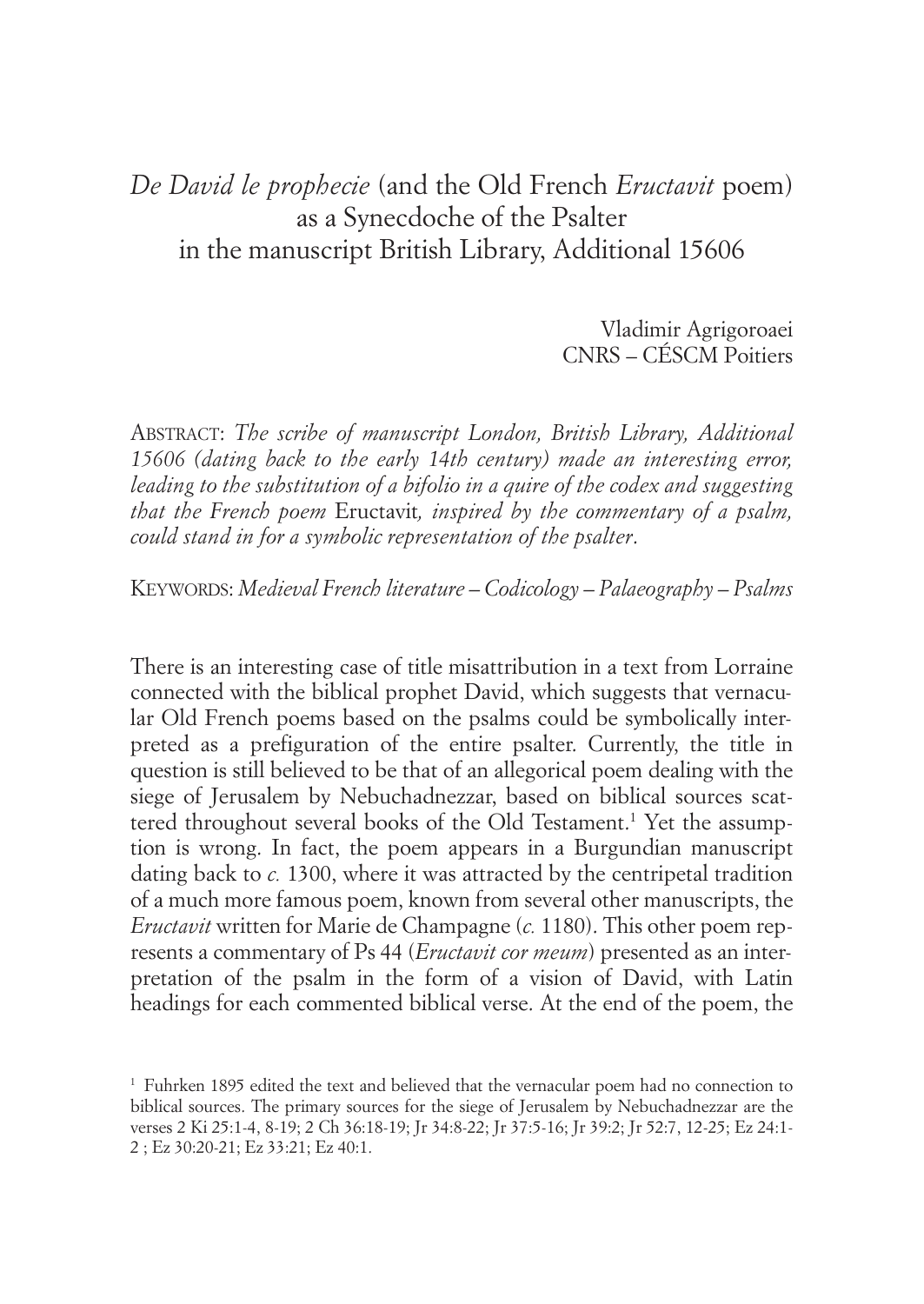## *De David le prophecie* (and the Old French *Eructavit* poem) as a Synecdoche of the Psalter in the manuscript British Library, Additional 15606

Vladimir Agrigoroaei CNRS – CÉSCM Poitiers

ABSTRACT: *The scribe of manuscript London, British Library, Additional 15606 (dating back to the early 14th century) made an interesting error, leading to the substitution of a bifolio in a quire of the codex and suggesting that the French poem* Eructavit*, inspired by the commentary of a psalm, could stand in for a symbolic representation of the psalter*.

KEYWORDS: *Medieval French literature – Codicology – Palaeography – Psalms*

There is an interesting case of title misattribution in a text from Lorraine connected with the biblical prophet David, which suggests that vernacular Old French poems based on the psalms could be symbolically interpreted as a prefiguration of the entire psalter. Currently, the title in question is still believed to be that of an allegorical poem dealing with the siege of Jerusalem by Nebuchadnezzar, based on biblical sources scattered throughout several books of the Old Testament. <sup>1</sup> Yet the assumption is wrong. In fact, the poem appears in a Burgundian manuscript dating back to *c.* 1300, where it was attracted by the centripetal tradition of a much more famous poem, known from several other manuscripts, the *Eructavit* written for Marie de Champagne (*c.* 1180). This other poem represents a commentary of Ps 44 (*Eructavit cor meum*) presented as an interpretation of the psalm in the form of a vision of David, with Latin headings for each commented biblical verse. At the end of the poem, the

<sup>1</sup> Fuhrken 1895 edited the text and believed that the vernacular poem had no connection to biblical sources. The primary sources for the siege of Jerusalem by Nebuchadnezzar are the verses 2 Ki 25:1-4, 8-19; 2 Ch 36:18-19; Jr 34:8-22; Jr 37:5-16; Jr 39:2; Jr 52:7, 12-25; Ez 24:1- 2 ; Ez 30:20-21; Ez 33:21; Ez 40:1.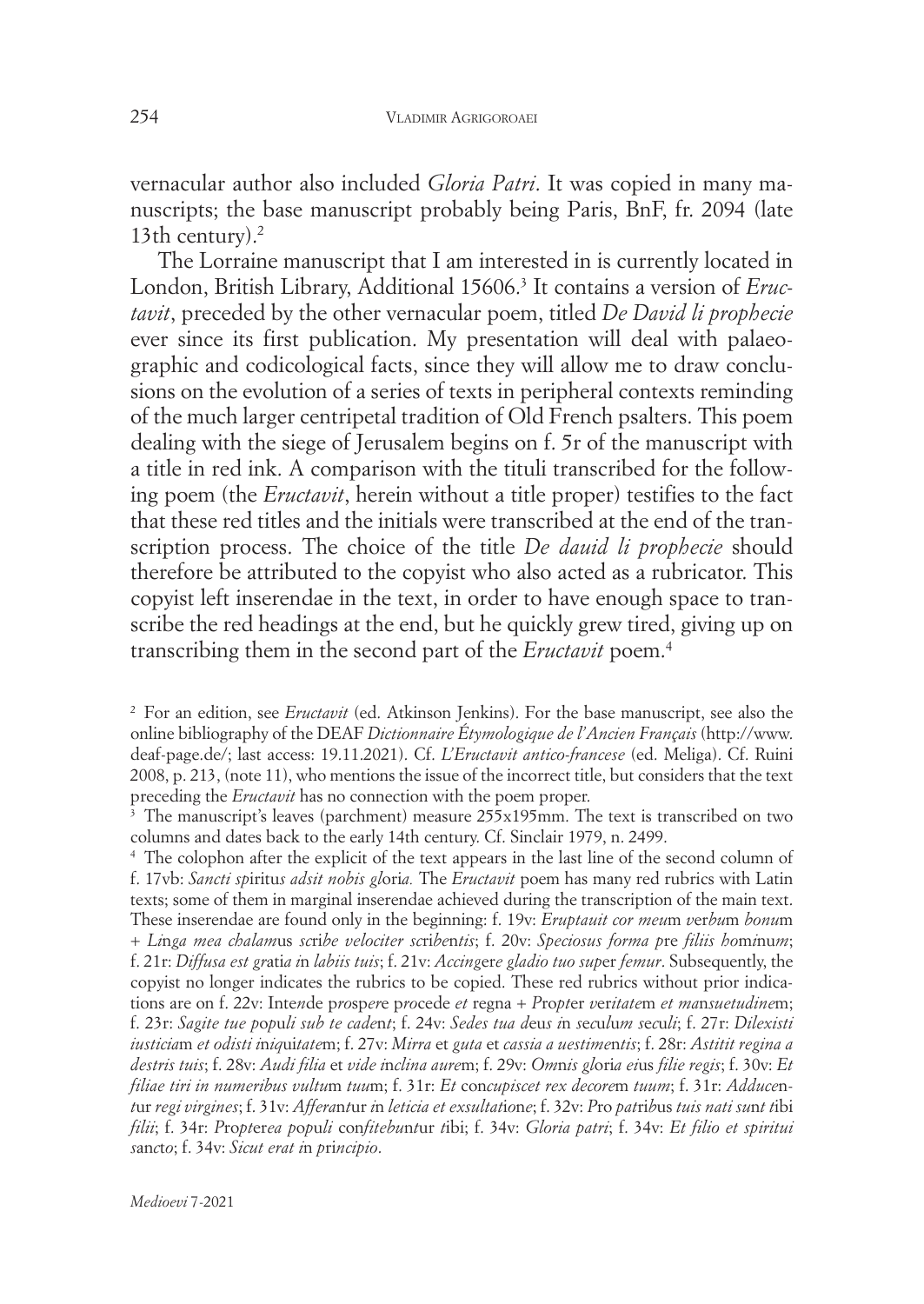vernacular author also included *Gloria Patri*. It was copied in many manuscripts; the base manuscript probably being Paris, BnF, fr. 2094 (late 13th century). 2

The Lorraine manuscript that I am interested in is currently located in London, British Library, Additional 15606. <sup>3</sup> It contains a version of *Eructavit*, preceded by the other vernacular poem, titled *De David li prophecie* ever since its first publication. My presentation will deal with palaeographic and codicological facts, since they will allow me to draw conclusions on the evolution of a series of texts in peripheral contexts reminding of the much larger centripetal tradition of Old French psalters. This poem dealing with the siege of Jerusalem begins on f. 5r of the manuscript with a title in red ink. A comparison with the tituli transcribed for the following poem (the *Eructavit*, herein without a title proper) testifies to the fact that these red titles and the initials were transcribed at the end of the transcription process. The choice of the title *De dauid li prophecie* should therefore be attributed to the copyist who also acted as a rubricator. This copyist left inserendae in the text, in order to have enough space to transcribe the red headings at the end, but he quickly grew tired, giving up on transcribing them in the second part of the *Eructavit* poem. 4

<sup>2</sup> For an edition, see *Eructavit* (ed. Atkinson Jenkins). For the base manuscript, see also the online bibliography of the DEAF *Dictionnaire Étymologique de l'Ancien Français* (http://www. deaf-page.de/; last access: 19.11.2021). Cf. *L'Eructavit antico-francese* (ed. Meliga). Cf. Ruini 2008, p. 213, (note 11), who mentions the issue of the incorrect title, but considers that the text preceding the *Eructavit* has no connection with the poem proper.

<sup>&</sup>lt;sup>3</sup> The manuscript's leaves (parchment) measure 255x195mm. The text is transcribed on two columns and dates back to the early 14th century. Cf. Sinclair 1979, n. 2499.

<sup>4</sup> The colophon after the explicit of the text appears in the last line of the second column of f. 17vb: *Sancti sp*iritu*s adsit nobis gl*ori*a.* The *Eructavit* poem has many red rubrics with Latin texts; some of them in marginal inserendae achieved during the transcription of the main text. These inserendae are found only in the beginning: f. 19v: *Eruptauit cor meu*m *v*er*bu*m *bonu*m + *Li*n*ga mea chalam*us *sc*ri*be velociter sc*ri*be*n*tis*; f. 20v: *Speciosus forma p*re *filiis ho*m*i*nu*m*; f. 21r: *Diffusa est gr*ati*a i*n *labiis tuis*; f. 21v: *Accing*er*e gladio tuo sup*er *femur*. Subsequently, the copyist no longer indicates the rubrics to be copied. These red rubrics without prior indications are on f. 22v: Inte*n*de p*ro*sp*er*e p*ro*cede *et* regna + *P*ro*pt*er *v*er*itate*m *et ma*n*suetudine*m; f. 23r: Sagite tue populi sub te cadent; f. 24v: Sedes tua deus in seculum seculi; f. 27r: Dilexisti *iusticia*m *et odisti i*n*iq*ui*tate*m; f. 27v: *Mirra* et *guta* et *cassia a uestime*n*tis*; f. 28r: *Astitit regina a destris tuis*; f. 28v: *Audi filia* et *vide i*n*clina aure*m; f. 29v: *Om*n*is gl*ori*a ei*us *filie regis*; f. 30v: *Et filiae tiri in numeribus vultu*m *tuu*m; f. 31r: *Et* con*cupiscet rex decore*m *tuum*; f. 31r: *Adduce*ntur regi virgines; f. 31v: Afferantur in leticia et exsultatione; f. 32v: Pro patribus tuis nati sunt tibi *filii*; f. 34r: *P*ro*pt*er*ea p*o*p*u*li* con*fitebu*n*t*ur *t*ibi; f. 34v: *Gloria patri*; f. 34v: *Et filio et spiritui s*an*c*t*o*; f. 34v: *Sicut erat i*n *p*ri*ncipio*.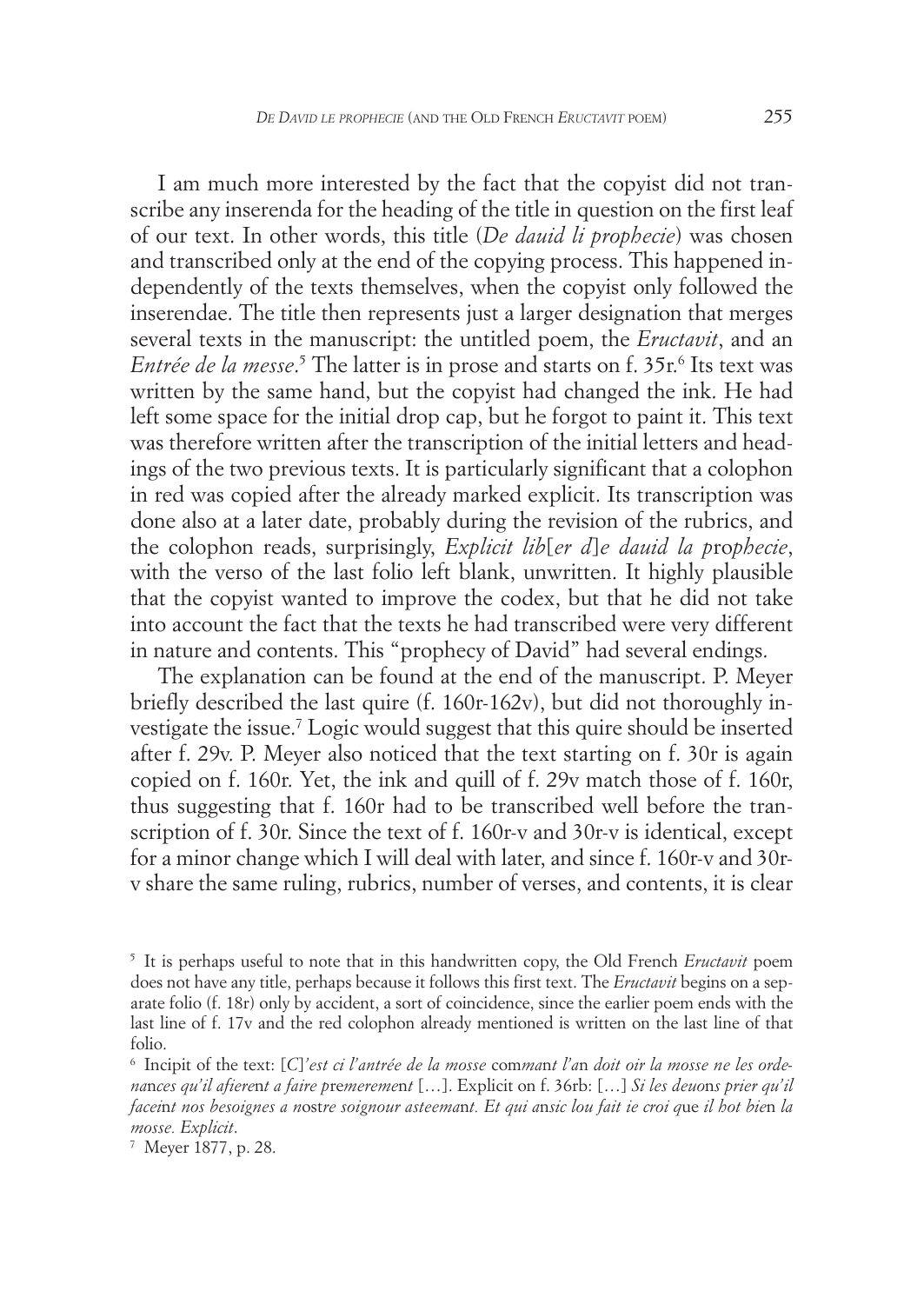I am much more interested by the fact that the copyist did not transcribe any inserenda for the heading of the title in question on the first leaf of our text. In other words, this title (*De dauid li prophecie*) was chosen and transcribed only at the end of the copying process. This happened independently of the texts themselves, when the copyist only followed the inserendae. The title then represents just a larger designation that merges several texts in the manuscript: the untitled poem, the *Eructavit*, and an *Entrée de la messe*. <sup>5</sup> The latter is in prose and starts on f. 35r. <sup>6</sup> Its text was written by the same hand, but the copyist had changed the ink. He had left some space for the initial drop cap, but he forgot to paint it. This text was therefore written after the transcription of the initial letters and headings of the two previous texts. It is particularly significant that a colophon in red was copied after the already marked explicit. Its transcription was done also at a later date, probably during the revision of the rubrics, and the colophon reads, surprisingly, *Explicit lib*[*er d*]*e dauid la p*ro*phecie*, with the verso of the last folio left blank, unwritten. It highly plausible that the copyist wanted to improve the codex, but that he did not take into account the fact that the texts he had transcribed were very different in nature and contents. This "prophecy of David" had several endings.

The explanation can be found at the end of the manuscript. P. Meyer briefly described the last quire (f. 160r-162v), but did not thoroughly investigate the issue. <sup>7</sup> Logic would suggest that this quire should be inserted after f. 29v. P. Meyer also noticed that the text starting on f. 30r is again copied on f. 160r. Yet, the ink and quill of f. 29v match those of f. 160r, thus suggesting that f. 160r had to be transcribed well before the transcription of f. 30r. Since the text of f. 160r-v and 30r-v is identical, except for a minor change which I will deal with later, and since f. 160r-v and 30rv share the same ruling, rubrics, number of verses, and contents, it is clear

<sup>5</sup> It is perhaps useful to note that in this handwritten copy, the Old French *Eructavit* poem does not have any title, perhaps because it follows this first text. The *Eructavit* begins on a separate folio (f. 18r) only by accident, a sort of coincidence, since the earlier poem ends with the last line of f. 17v and the red colophon already mentioned is written on the last line of that folio.

<sup>6</sup> Incipit of the text: [*C*]*'est ci l'antrée de la mosse* com*ma*n*t l'a*n *doit oir la mosse ne les ordena*n*ces qu'il afiere*n*t a faire p*re*mereme*n*t* […]. Explicit on f. 36rb: […] *Si les deuo*n*s prier qu'il* faceint nos besoignes a nostre soignour asteemant. Et qui ansic lou fait ie croi que il hot bien la *mosse. Explicit*.

<sup>7</sup> Meyer 1877, p. 28.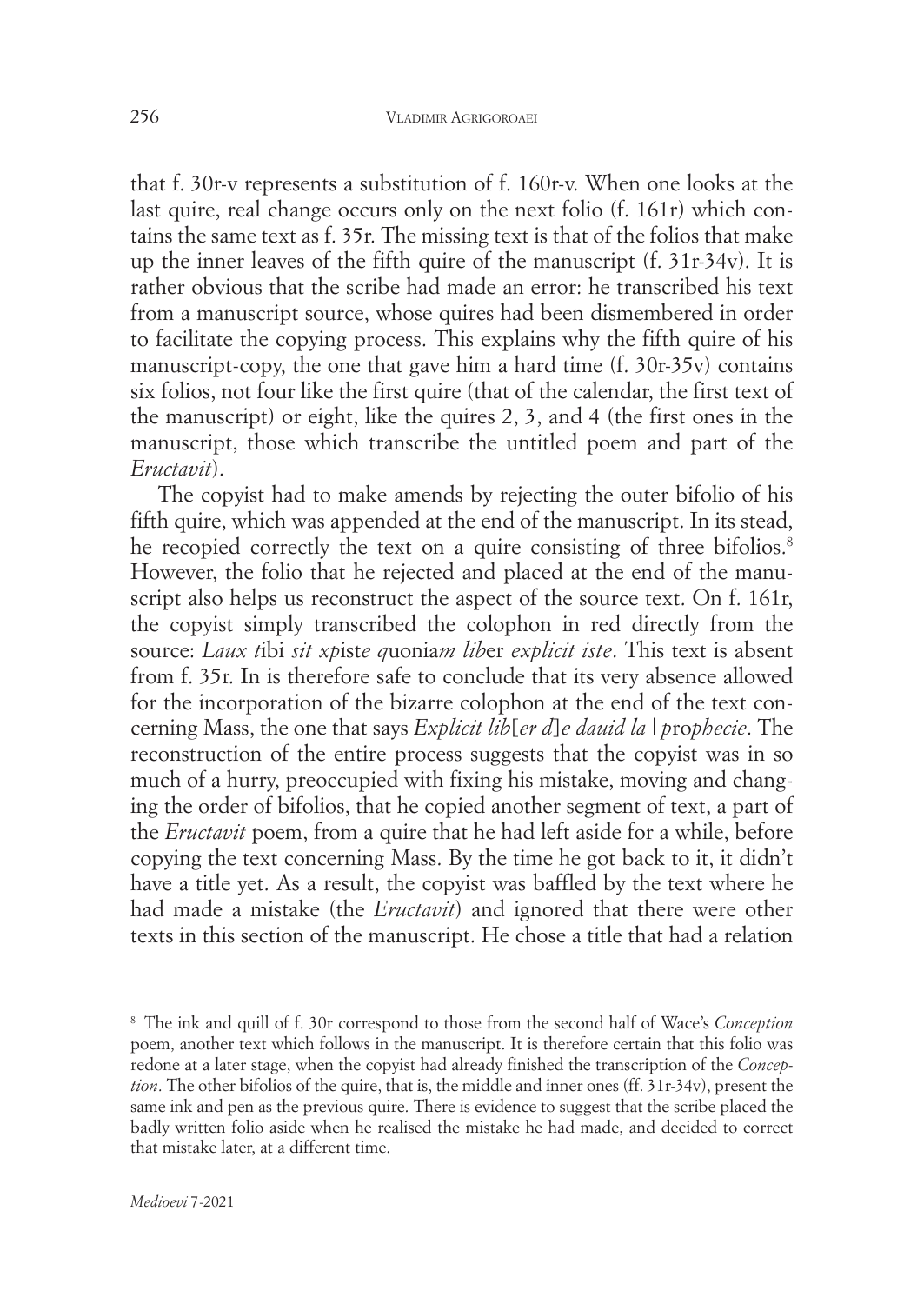that f. 30r-v represents a substitution of f. 160r-v. When one looks at the last quire, real change occurs only on the next folio (f. 161r) which contains the same text as f. 35r. The missing text is that of the folios that make up the inner leaves of the fifth quire of the manuscript (f. 31r-34v). It is rather obvious that the scribe had made an error: he transcribed his text from a manuscript source, whose quires had been dismembered in order to facilitate the copying process. This explains why the fifth quire of his manuscript-copy, the one that gave him a hard time (f. 30r-35v) contains six folios, not four like the first quire (that of the calendar, the first text of the manuscript) or eight, like the quires 2, 3, and 4 (the first ones in the manuscript, those which transcribe the untitled poem and part of the *Eructavit*).

The copyist had to make amends by rejecting the outer bifolio of his fifth quire, which was appended at the end of the manuscript. In its stead, he recopied correctly the text on a quire consisting of three bifolios. 8 However, the folio that he rejected and placed at the end of the manuscript also helps us reconstruct the aspect of the source text. On f. 161r, the copyist simply transcribed the colophon in red directly from the source: *Laux t*ibi *sit xp*ist*e q*uonia*m lib*er *explicit iste*. This text is absent from f. 35r. In is therefore safe to conclude that its very absence allowed for the incorporation of the bizarre colophon at the end of the text concerning Mass, the one that says *Explicit lib*[*er d*]*e dauid la | p*ro*phecie*. The reconstruction of the entire process suggests that the copyist was in so much of a hurry, preoccupied with fixing his mistake, moving and changing the order of bifolios, that he copied another segment of text, a part of the *Eructavit* poem, from a quire that he had left aside for a while, before copying the text concerning Mass. By the time he got back to it, it didn't have a title yet. As a result, the copyist was baffled by the text where he had made a mistake (the *Eructavit*) and ignored that there were other texts in this section of the manuscript. He chose a title that had a relation

<sup>8</sup> The ink and quill of f. 30r correspond to those from the second half of Wace's *Conception* poem, another text which follows in the manuscript. It is therefore certain that this folio was redone at a later stage, when the copyist had already finished the transcription of the *Conception*. The other bifolios of the quire, that is, the middle and inner ones (ff. 31r-34v), present the same ink and pen as the previous quire. There is evidence to suggest that the scribe placed the badly written folio aside when he realised the mistake he had made, and decided to correct that mistake later, at a different time.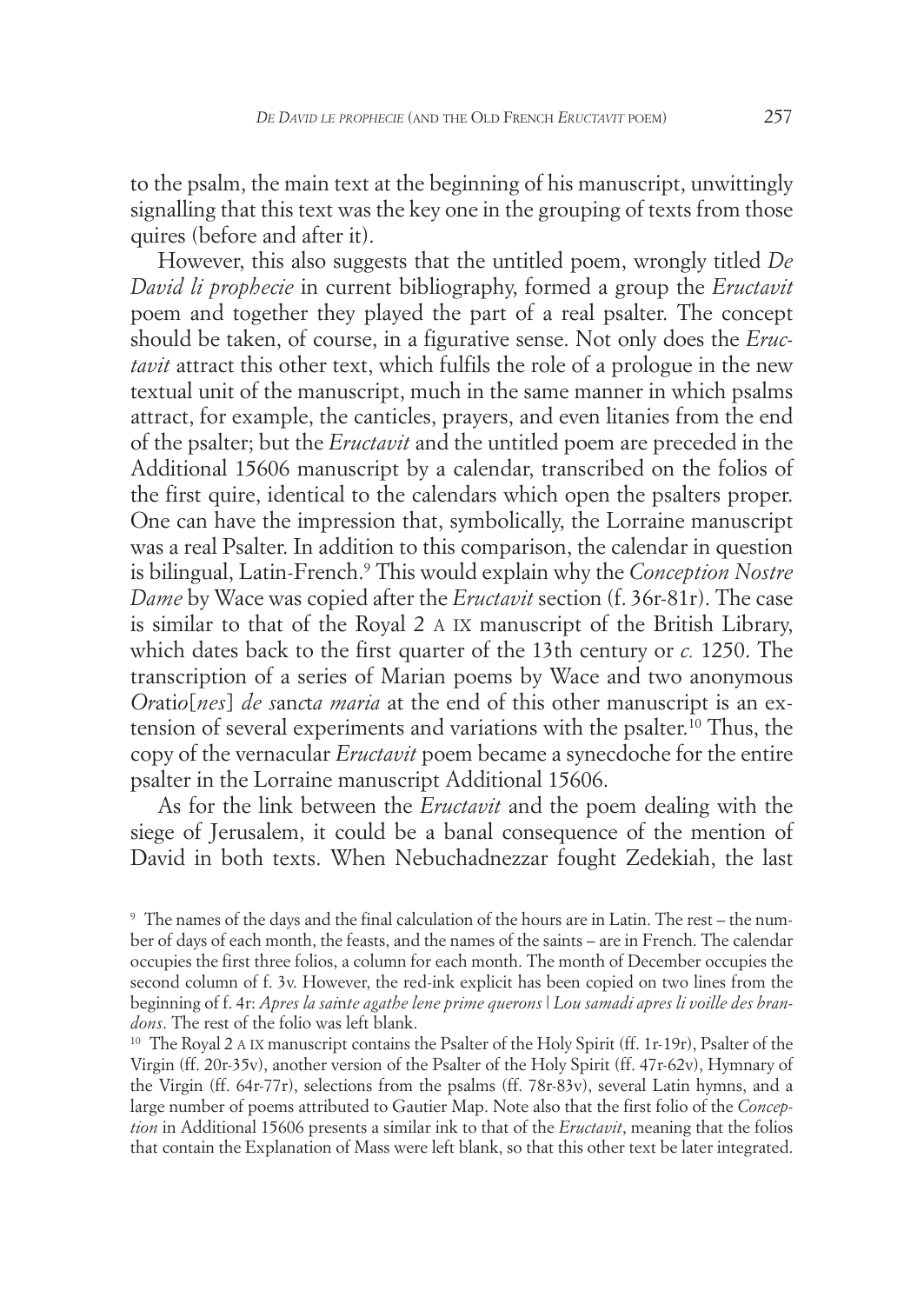to the psalm, the main text at the beginning of his manuscript, unwittingly signalling that this text was the key one in the grouping of texts from those quires (before and after it).

However, this also suggests that the untitled poem, wrongly titled *De David li prophecie* in current bibliography, formed a group the *Eructavit* poem and together they played the part of a real psalter. The concept should be taken, of course, in a figurative sense. Not only does the *Eructavit* attract this other text, which fulfils the role of a prologue in the new textual unit of the manuscript, much in the same manner in which psalms attract, for example, the canticles, prayers, and even litanies from the end of the psalter; but the *Eructavit* and the untitled poem are preceded in the Additional 15606 manuscript by a calendar, transcribed on the folios of the first quire, identical to the calendars which open the psalters proper. One can have the impression that, symbolically, the Lorraine manuscript was a real Psalter. In addition to this comparison, the calendar in question is bilingual, Latin-French. <sup>9</sup> This would explain why the *Conception Nostre Dame* by Wace was copied after the *Eructavit* section (f. 36r-81r). The case is similar to that of the Royal 2 A IX manuscript of the British Library, which dates back to the first quarter of the 13th century or *c.* 1250. The transcription of a series of Marian poems by Wace and two anonymous *Or*ati*o*[*nes*] *de s*an*c*t*a maria* at the end of this other manuscript is an extension of several experiments and variations with the psalter. <sup>10</sup> Thus, the copy of the vernacular *Eructavit* poem became a synecdoche for the entire psalter in the Lorraine manuscript Additional 15606.

As for the link between the *Eructavit* and the poem dealing with the siege of Jerusalem, it could be a banal consequence of the mention of David in both texts. When Nebuchadnezzar fought Zedekiah, the last

<sup>9</sup> The names of the days and the final calculation of the hours are in Latin. The rest – the number of days of each month, the feasts, and the names of the saints – are in French. The calendar occupies the first three folios, a column for each month. The month of December occupies the second column of f. 3v. However, the red-ink explicit has been copied on two lines from the beginning of f. 4r: *Apres la sai*n*te agathe lene prime querons* | *Lou samadi apres li voille des brandons*. The rest of the folio was left blank.

<sup>&</sup>lt;sup>10</sup> The Royal 2 A IX manuscript contains the Psalter of the Holy Spirit (ff. 1r-19r), Psalter of the Virgin (ff. 20r-35v), another version of the Psalter of the Holy Spirit (ff. 47r-62v), Hymnary of the Virgin (ff. 64r-77r), selections from the psalms (ff. 78r-83v), several Latin hymns, and a large number of poems attributed to Gautier Map. Note also that the first folio of the *Conception* in Additional 15606 presents a similar ink to that of the *Eructavit*, meaning that the folios that contain the Explanation of Mass were left blank, so that this other text be later integrated.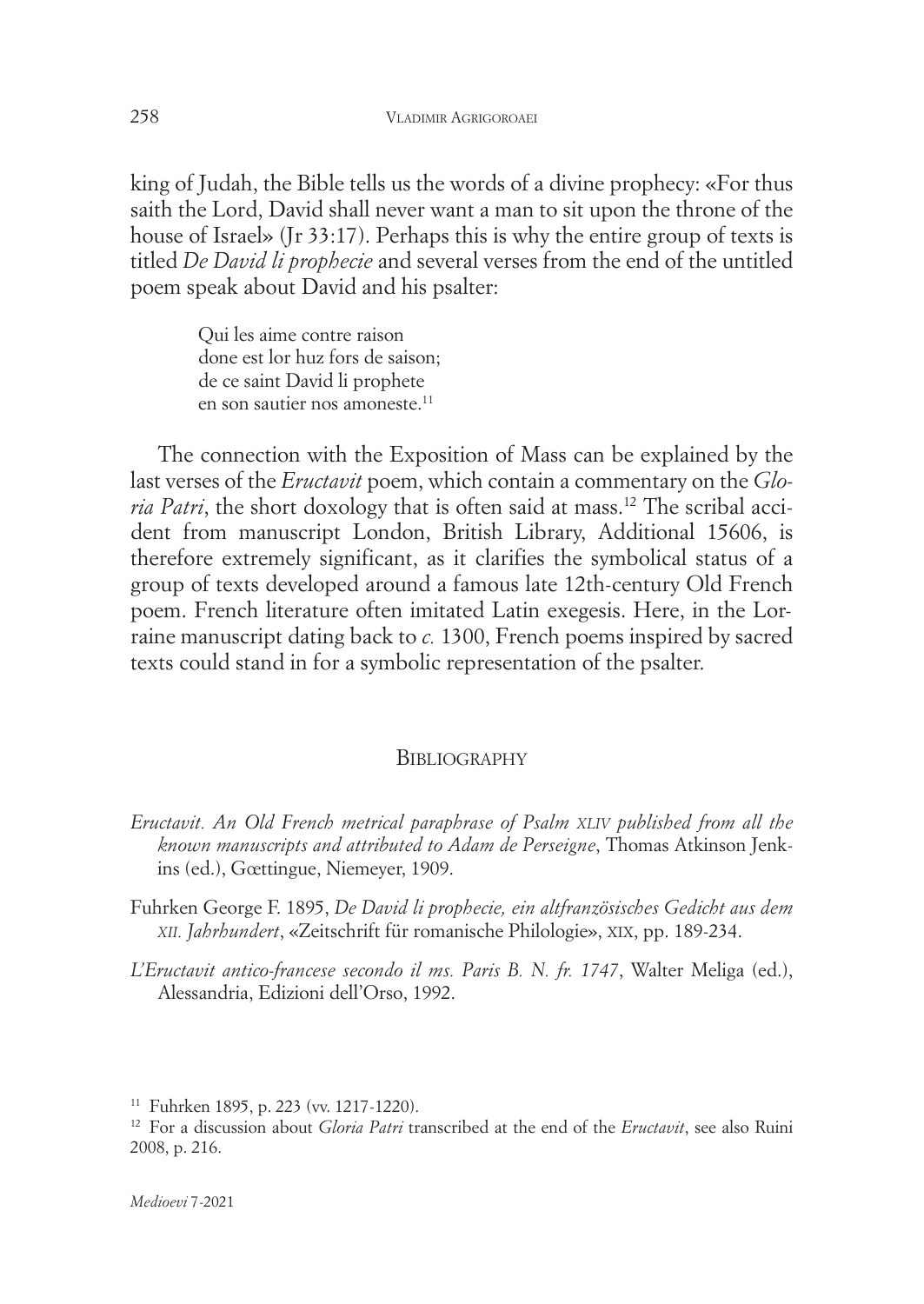king of Judah, the Bible tells us the words of a divine prophecy: «For thus saith the Lord, David shall never want a man to sit upon the throne of the house of Israel» (Jr 33:17). Perhaps this is why the entire group of texts is titled *De David li prophecie* and several verses from the end of the untitled poem speak about David and his psalter:

> Qui les aime contre raison done est lor huz fors de saison; de ce saint David li prophete en son sautier nos amoneste. 11

The connection with the Exposition of Mass can be explained by the last verses of the *Eructavit* poem, which contain a commentary on the *Gloria Patri*, the short doxology that is often said at mass. <sup>12</sup> The scribal accident from manuscript London, British Library, Additional 15606, is therefore extremely significant, as it clarifies the symbolical status of a group of texts developed around a famous late 12th-century Old French poem. French literature often imitated Latin exegesis. Here, in the Lorraine manuscript dating back to *c.* 1300, French poems inspired by sacred texts could stand in for a symbolic representation of the psalter.

## **BIBLIOGRAPHY**

*Eructavit. An Old French metrical paraphrase of Psalm XLIV published from all the known manuscripts and attributed to Adam de Perseigne*, Thomas Atkinson Jenkins (ed.), Gœttingue, Niemeyer, 1909.

Fuhrken George F. 1895, *De David li prophecie, ein altfranzösisches Gedicht aus dem XII. Jahrhundert*, «Zeitschrift für romanische Philologie», XIX, pp. 189-234.

*L'Eructavit antico-francese secondo il ms. Paris B. N. fr. 1747*, Walter Meliga (ed.), Alessandria, Edizioni dell'Orso, 1992.

<sup>11</sup> Fuhrken 1895, p. 223 (vv. 1217-1220).

<sup>12</sup> For a discussion about *Gloria Patri* transcribed at the end of the *Eructavit*, see also Ruini 2008, p. 216.